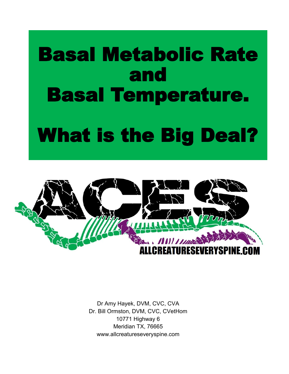## Basal Metabolic Rate and Basal Temperature. What is the Big Deal?



Dr Amy Hayek, DVM, CVC, CVA Dr. Bill Ormston, DVM, CVC, CVetHom 10771 Highway 6 Meridian TX, 76665 www.allcreatureseveryspine.com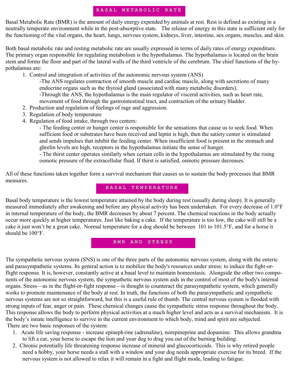## **BASAL METABOLIC RATE**

Basal Metabolic Rate (BMR) is the amount of daily [energy](http://en.wikipedia.org/wiki/Food_energy) expended by animals at rest. Rest is defined as existing in a neutrally [temperate](http://en.wikipedia.org/wiki/Temperate) environment while in the post-[absorptive state.](http://en.wikipedia.org/wiki/Absorptive_state) The release of energy in this state is sufficient only for the functioning of the vital organs, the [heart,](http://en.wikipedia.org/wiki/Heart) [lungs,](http://en.wikipedia.org/wiki/Lungs) [nervous system,](http://en.wikipedia.org/wiki/Nervous_system) [kidneys,](http://en.wikipedia.org/wiki/Kidneys) [liver,](http://en.wikipedia.org/wiki/Liver) [intestine,](http://en.wikipedia.org/wiki/Intestine) [sex organs,](http://en.wikipedia.org/wiki/Sex_organs) [muscles,](http://en.wikipedia.org/wiki/Muscles) and [skin.](http://en.wikipedia.org/wiki/Skin) 

Both basal metabolic rate and resting metabolic rate are usually expressed in terms of daily rates of energy expenditure. The [primary organ](http://en.wikipedia.org/w/index.php?title=Primary_organ&action=edit&redlink=1) responsible for regulating metabolism is the [hypothalamus.](http://en.wikipedia.org/wiki/Hypothalamus) The hypothalamus is located on the [brain](http://en.wikipedia.org/wiki/Brain_stem)  [stem](http://en.wikipedia.org/wiki/Brain_stem) and forms the floor and part of the lateral walls of the third ventricle of the [cerebrum.](http://en.wikipedia.org/wiki/Cerebrum) The chief functions of the hypothalamus are:

1. Control and integration of activities of the [autonomic nervous system](http://en.wikipedia.org/wiki/Autonomic_nervous_system) (ANS)

-The ANS regulates contraction of smooth muscle and [cardiac muscle,](http://en.wikipedia.org/wiki/Cardiac_muscle) along with secretions of many endocrine organs such as the thyroid gland (associated with many metabolic disorders). -Through the ANS, the hypothalamus is the main regulator of visceral activities, such as heart rate, movement of food through the gastrointestinal tract, and contraction of the urinary bladder.

- 2. Production and regulation of feelings of rage and aggression.
- 3. Regulation of body temperature
- 4. Regulation of food intake, through two centers:

- The feeding center or hunger center is responsible for the sensations that cause us to seek food. When sufficient food or substrates have been received and leptin is high, then the satiety center is stimulated and sends impulses that inhibit the feeding center. When insufficient food is present in the stomach and ghrelin levels are high, receptors in the hypothalamus initiate the sense of hunger.

- The thirst center operates similarly when certain cells in the hypothalamus are stimulated by the rising osmotic pressure of the extracellular fluid. If thirst is satisfied, osmotic pressure decreases.

All of these functions taken together form a survival mechanism that causes us to sustain the body processes that BMR measures.

## **BASAL TEMPERATURE**

Basal body temperature is the lowest temperature attained by the body during rest (usually during sleep). It is generally measured immediately after awakening and before any physical activity has been undertaken. For every decrease of 1.0°F in internal temperature of the body, the BMR decreases by about 7 percent. The chemical reactions in the body actually occur more quickly at higher temperatures. Just like baking a cake. If the temperature is too low, the cake will still be a cake it just won't be a great cake. Normal temperature for a dog should be between 101 to 101.5°F, and for a horse it should be 100°F.

**BMR AND STRESS**

The sympathetic nervous system (SNS) is one of the three parts of the autonomic nervous system, along with the enteric and parasympathetic systems. Its general action is to mobilize the body's resources under stress; to induce the fight-orflight response. It is, however, constantly active at a basal level to maintain homeostasis. Alongside the other two components of the autonomic nervous system, the sympathetic nervous system aids in the control of most of the body's internal organs. Stress—as in the flight-or-fight response—is thought to counteract the parasympathetic system, which generally works to promote maintenance of the body at rest. In truth, the functions of both the parasympathetic and sympathetic nervous systems are not so straightforward, but this is a useful rule of thumb. The central nervous system is flooded with strong inputs of fear, anger or pain. These chemical changes cause the sympathetic stress response throughout the body. This response allows the body to perform physical activities at a much higher level and acts as a survival mechanism. It is the body's innate intelligence to survive in the current environment to which body, mind and spirit are subjected. There are two basic responses of the system:

- 1. Acute life saving response increase epineph rine (adrenaline), norepineprine and dopamine. This allows grandma to lift a car, your horse to escape the lion and your dog to drag you out of the burning building.
- 2. Chronic potentially life threatening response increase of mineral and glucocorticoids. This is why retired people need a hobby, your horse needs a stall with a window and your dog needs appropriate exercise for its breed. If the nervous system is not allowed to relax it will remain in a fight and flight mode, leading to fatigue.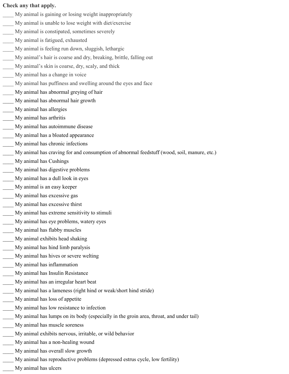## **Check any that apply.**

- My animal is gaining or losing weight inappropriately
- My animal is unable to lose weight with diet/exercise
- My animal is constipated, sometimes severely
- My animal is fatigued, exhausted
- My animal is feeling run down, sluggish, lethargic
- My animal's hair is coarse and dry, breaking, brittle, falling out
- My animal's skin is coarse, dry, scaly, and thick
- My animal has a change in voice
- My animal has puffiness and swelling around the eyes and face
- My animal has abnormal greying of hair
- \_\_\_\_ My animal has abnormal hair growth
- \_\_\_\_ My animal has allergies
- \_\_\_\_ My animal has arthritis
- My animal has autoimmune disease
- My animal has a bloated appearance
- \_\_\_\_ My animal has chronic infections
- My animal has craving for and consumption of abnormal feedstuff (wood, soil, manure, etc.)
- \_\_\_\_ My animal has Cushings
- My animal has digestive problems
- \_\_\_\_ My animal has a dull look in eyes
- My animal is an easy keeper
- \_\_\_\_ My animal has excessive gas
- \_\_\_\_ My animal has excessive thirst
- My animal has extreme sensitivity to stimuli
- My animal has eye problems, watery eyes
- \_\_\_\_ My animal has flabby muscles
- My animal exhibits head shaking
- \_\_\_\_ My animal has hind limb paralysis
- My animal has hives or severe welting
- \_\_\_\_ My animal has inflammation
- \_\_\_\_ My animal has Insulin Resistance
- My animal has an irregular heart beat
- My animal has a lameness (right hind or weak/short hind stride)
- \_\_\_\_ My animal has loss of appetite
- My animal has low resistance to infection
- My animal has lumps on its body (especially in the groin area, throat, and under tail)
- \_\_\_\_ My animal has muscle soreness
- My animal exhibits nervous, irritable, or wild behavior
- My animal has a non-healing wound
- My animal has overall slow growth
- My animal has reproductive problems (depressed estrus cycle, low fertility)
	- \_\_\_\_ My animal has ulcers